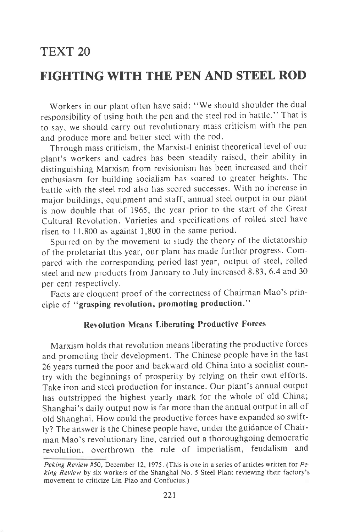## TEXT 20

## FIGHTING WITH THE PEN AND STEEL ROD

Workers in our plant often have said: "We should shoulder the dual responsibility of using both the pen and the steel rod in battle." That is to say, we should carry out revolutionary mass criticism with the pen and produce more and better steel with the rod.

Through mass criticism, the Marxist-Leninist theoretical level of our plant's workers and cadres has been steadily raised, their ability in distinguishing Marxism from revisionism has been increased and their enthusiasm for building socialism has soared to greater heights. The battle with the steel rod also has scored successes. With no increase in major buildings, equipment and staff, annual steel output in our plant is now double that of 1965, the year prior to the start of the Great Cultural Revolution. Varieties and specifications of rolled steel have risen to  $11,800$  as against  $1,800$  in the same period.

Spurred on by the movement to study the theory of the dictatorship of the proletariat this year, our plant has made further progress. Compared with the corresponding period last year, output of steel, rolled steel and new products from January to July increased 8.83,6.4 and <sup>30</sup> per cent respectively.

Facts are eloquent proof of the correctness of Chairman Mao's principle of "grasping revolution, promoting production."

## Revolution Means Liberating Productive Forces

Marxism holds that revolution means liberating the productive forces and promoting their development. The Chinese people have in the last 26 years turned the poor and backward old China into a socialist country with the beginnings of prosperity by relying on their own efforts. Take iron and steel production for instance. Our plant's annual output has outstripped the highest yearly mark for the whole of old China; Shanghai's daily output now is far more than the annual output in all of old Shanghai. How could the productive forces have expanded so swiftly? The answer is the Chinese people have, under the guidance of Chairman Mao's revolutionary line, carried out a thoroughgoing democratic revolution. overthrown the rule of imperialism, feudalism and

Peking Review #50, December 12, 1975. (This is one in a series of articles written for Peking Review by six workers of the Shanghai No. 5 Steel Plant reviewing their factory's movement to criticize Lin Piao and Confucius.)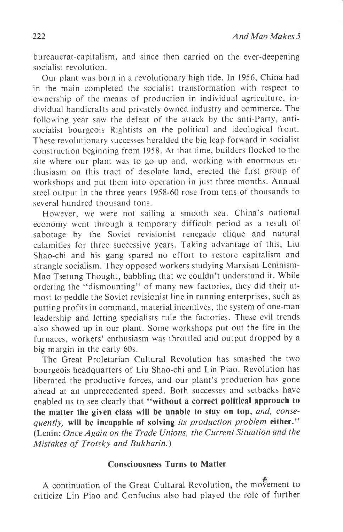bureaucrat-capitalism, and since then carried on the ever-deepening socialist revolution.

Our plant was born in a revolutionary high tide. In 1956, China had in the main completed the socialist transformation with respect to ownership of the means of production in individual agriculture, individual handicrafts and privately owned industry and commerce. The following year saw the defeat of the attack by the anti-Party, antisocialist bourgeois Rightists on the political and ideological front. These revolutionary successes heralded the big leap forward in socialist construction beginning from 1958. At that time, builders flocked to the site where our plant was to go up and, working with enormous enthusiasm on this tract of desolate land, erected the first group of workshops and put them into operation in just three months. Annual steel output in the three years 1958-60 rose from tens of thousands to several hundred thousand tons.

However, we were not sailing a smooth sea. China's national economy went through a temporary difficult period as a result of sabotage by the Soviet revisionist renegade clique and natural calamities for three successive years. Taking advantage of this, Liu Shao-chi and his gang spared no effort to restore capitalism and strangle socialism. They opposed workers studying Marrism-Leninism-Mao Tsetung Thought, babbling that we couldn't understand it. While ordering the "dismounting" of many new factories, they did their utmost to peddle the Soviet revisionist line in running enterprises, such as putting profits in command, material incentives, the system of one-man leadership and letting specialists rule the lactories. These evil trends also showed up in our plant. Some workshops put out the fire in the furnaces, workers' enthusiasm was throttled and output dropped by a big margin in the early 60s.

The Great Proletarian Cultural Revolution has smashed the two bourgeois headquarters of Liu Shao-chi and Lin Piao. Revolution has liberated the productive forces, and our plant's production has gone ahead at an unprecedented speed. Both successes and setbacks have enabled us to see clearly that "without a correct political approach to the matter the given class will be unable to stay on top, and, consequently, will be incapable of solving its production problem either." (Lenin: Once Again on the Trade Unions, the Current Situation and the Mistakes of Trotsky and Bukharin.)

## Consciousness Turns to Matter

A continuation of the Great Cultural Revolution, the movement to criticize Lin Piao and Confucius also had played the role of further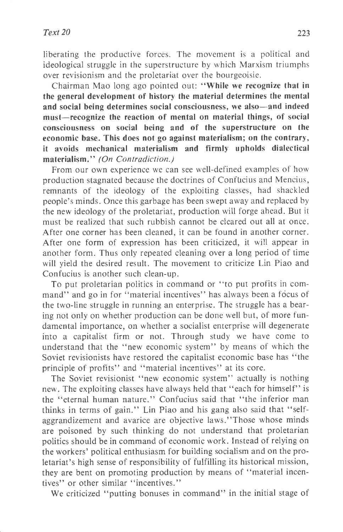liberating the productive forces. The movement is a political and ideological struggle in the superstructure by which Marxism triumphs over revisionism and the proletariat over the bourgeoisie.

Chairman Mao long ago pointed out: "While we recognize that in the general development of history the material determines the mental and social being determines social consciousness, we also—and indeed must-recognize the reaction of mental on material things, of social consciousness on social being and of the superstructure on Ihe economic base. This does not go against materialism; on the contrary, it avoids mechanical materialism and firmly upholds dialectical materialism." (On Contradiction.)

From our own experience we can see well-defined examples of how production stagnated because the doctrines of Confucius and Mencius, remnants of the ideology of the exploiting classes, had shackled people's minds. Once this garbage has been swept away and replaced by the new ideology of the proletariat, production will forge ahead. But it must be realized that such rubbish cannot be cleared out all at once. After one corner has been cleaned, it can be found in another corner. After one form of expression has been criticized, it will appear in another form. Thus only repeated cleaning over a long period of time will yield the desired result. The movement to criticize Lin Piao and Confucius is another such clean-up.

To put proletarian politics in command or "to put profits in command" and go in for "material incentives" has always been a focus of the two-line struggle in running an enterprise. The struggle has a bearing not only on whether production can be done well but, of more fundamental importance, on whether a socialist enterprise will degenerate into a capitalist firm or not. Through study we have come to understand that the "new economic system" by means of which the Soviet revisionists have restored the capitalist economic base has "the principle of profits" and "material incentives" at its core.

The Soviet revisionist "new economic system" actually is nothing new. The exploiting classes have always held that "each for himself" is the "eternal human nature." Confucius said that "the inferior man thinks in terms of gain." Lin Piao and his gang also said that "selfaggrandizement and avarice are objective laws."Those whose minds are poisoned by such thinking do not understand that proletarian politics should be in command of economic work. Instead of relying on the workers' political enthusiasm for building socialism and on the proletariat's high sense of responsibility of fulfilling its historical mission, they are bent on promoting production by means of "material incentives" or other similar "incentives."

We criticized "putting bonuses in command" in the initial stage of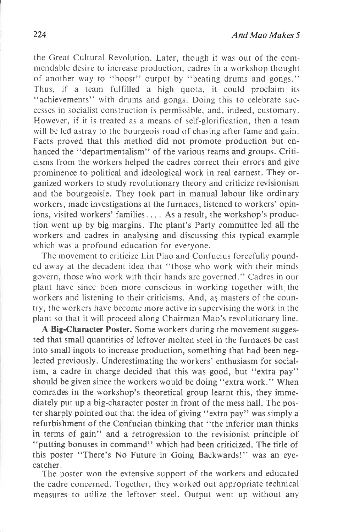the Great Cultural Revolution. Later, though it was out of the commendable desire to increase production, cadres in a workshop thought of another way to "boost" output by "beating drums and gongs." Thus, if a team fulfilled a high quota, it could proclaim its "achievements" with drums and gongs. Doing this to celebrate successes in socialist construction is permissible, and, indeed, customary. However, if it is treated as a means of self-glorification, then a team will be led astray to the bourgeois road of chasing after fame and gain. Facts proved that this method did not promote production but enhanced the "departmentalism" of the various teams and groups. Criticisms from the workers helped the cadres correct their errors and give prominence to political and ideological work in real earnest. They organized workers to study revolutionary theory and criticize revisionism and the bourgeoisie. They took part in manual labour like ordinary workers, made investigations at the furnaces, listened to workers' opinions, visited workers' families. . . . As a result, the workshop's production went up by big margins. The plant's Party committee led all the workers and cadres in analysing and discussing this typical example which was a profound education for everyone.

The movement to criticize Lin Piao and Confucius forcefully pounded away at the decadent idea that "those who work with their minds govern, those who work with their hands are governed." Cadres in our plant have since been more conscious in working together with the workers and listening to their criticisms. And, as masters of the country, the workers have become more active in supervising the work in the plant so that it will proceed along Chairman Mao's revolutionary line.

A Big-Character Poster. Some workers during the movement suggested that small quantities of leftover molten steel in the furnaces be cast into small ingots to increase production, something that had been neglected previously. Underestimating the workers' enthusiasm for socialism, a cadre in charge decided that this was good, but "extra pay" should be given since the workers would be doing "extra work." When comrades in the workshop's theoretical group learnt this, they immediately put up a big-character poster in front of the mess hall. The poster sharply pointed out that the idea of giving "extra pay" was simply <sup>a</sup> refurbishment of the Confucian thinking that "the inferior man thinks in terms of gain" and a retrogression to the revisionist principle of "putting bonuses in command" which had been criticized. The title of this poster "There's No Future in Going Backwards!" was an eyecatcher.

The poster won the extensive support of the workers and educated the cadre concerned. Together, they worked out appropriate technical measures to utilize the leftover steel. Output went up without any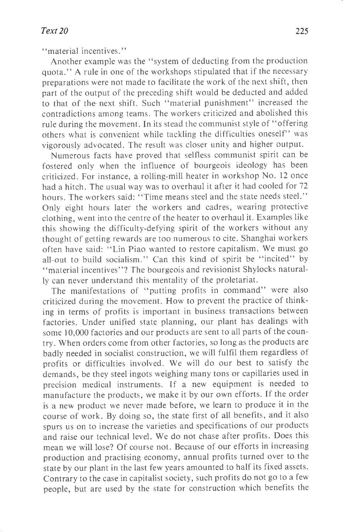"material incentives."

Another example was the "system of deducting from the production quota." A rule in one of the workshops stipulated that if the necessary preparations were not made to facilitate the work of the next shift, then part of the output of the preceding shift would be deducted and added to that of the next shift. Such "material punishment" increased the contradictions among teams. The workers criticized and abolished this rule during the movement. In its stead the communist style of "offering others what is convenient while tackling the difficulties oneself" was vigorously advocated. The result was closer unity and higher output.

Numerous facts have proved that selfless communist spirit can be fostered only when the influence of bourgeois ideology has been criticized. For instance, a rolling-mill heater in workshop No. 12 once had a hitch. The usual way was to overhaul it after it had cooled for <sup>72</sup> hours. The workers said: "Time means steel and the state needs steel'" Only eight hours later the workers and cadres, wearing protective clothing, went into the centre of the heater to overhaul it. Examples like this showing the difficulty-defying spirit of the workers without any thought of getting rewards are too numerous to cite. Shanghai workers often have said: "Lin Piao wanted to restore capitalism. We must go all-out to build socialism." Can this kind of spirit be "incited" by "material incentives"? The bourgeois and revisionist Shylocks naturally can never understand this mentality of the proletariat.

The manifestations of "putting profits in command" were also criticized during the movement. How to prevent the practice of thinking in terms of profits is important in business transactions between factories. Under unified state planning, our plant has dealings with some 10,000 factories and our products are sent to all parts of the country. When orders come from other factories, so long as the products are badly needed in socialist construction, we will fulfil them regardless of profits or difficulties involved. We will do our best to satisfy the demands, be they steel ingots weighing many tons or capillaries used in precision medical instruments. If a new equipment is needed to manufacture the products, we make it by our own efforts. If the order is a new product we never made before, we learn to produce it in the course of work. By doing so, the state first of all benefits, and it also spurs us on to increase the varieties and specifications of our products and raise our technical level. We do not chase after profits. Does this mean we will lose? Of course not. Because of our efforts in increasing production and practising economy, annual profits turned over to the state by our plant in the last few years amounted to half its fixed assets. Contrary to the case in capitalist society, such profits do not go to a few people, but are used by the state for construction which benefits the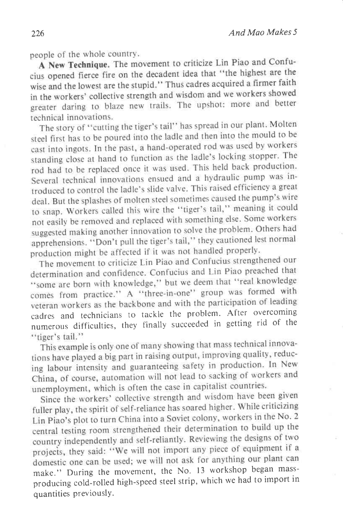people of the whole country.

A New Technique. The movement to criticize Lin Piao and Confucius opened fierce fire on the decadent idea that "the highest are the wise and the lowest are the stupid." Thus cadres acquired a firmer faith in the workers' collective strength and wisdom and we workers showed greater daring to blaze new trails. The upshot: more and better technical innovations.

The story of "cutting the tiger's tail" has spread in our plant. Molten steel first has to be poured into the ladle and then into the mould to be cast into ingots. In the past, a hand-operated rod was used by workers standing close at hand to function as the ladle's locking stopper. The rod had to be replaced once it was used. This held back production. Several technical innovations ensued and a hydraulic pump was introduced to control the ladle's slide valve. This raised efficiency a great deal. But the splashes of molten steel sometimes caused the pump's wire to snap. Workers called this wire the "tiger's tail," meaning it could not easily be removed and replaced with something else. Some workers suggested making another innovation to solve the problem. Others had apprehensions. "Don't pull the tiger's tail," they cautioned lest normal production might be affected if it was not handled properly.

The movement to criticize Lin Piao and Confucius strengthened our determination and confidence. Confucius and Lin Piao preached that "some are born with knowledge," but we deem that "real knowledge" comes from practice." A "three-in-one" group was formed with veteran workers as the backbone and with the participation of leading cadres and technicians to tackle the problem. After overcoming numerous difficulties, they finally succeeded in getting rid of the "tiger's tail."

This example is only one of many showing that mass technical innovations have played a big part in raising output, improving quality, reducing labour intensity and guaranteeing safety in production. In New China, of course, automation will not lead to sacking of workers and unemployment, which is often the case in capitalist countries.

Since the workers' collective strength and wisdom have been given fuller play, the spirit of self-reliance has soared higher. While criticizing Lin Piao's plot to turn China into a Soviet colony, workers in the No. 2 central testing room strengthened their determination to build up the country independently and self-reliantly. Reviewing the designs of two projects, they said: "We will not import any piece of equipment if a domestic one can be used; we will not ask for anything our plant can make." During the movement, the No. 13 workshop began massproducing cold-rolled high-speed steel strip, which we had to import in quantities previously.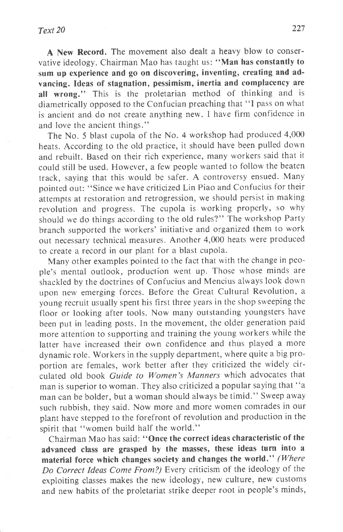A New Record. The movement also dealt a heavy blow to conservative ideology. Chairman Mao has taught us: "Man has constantly to sum up experience and go on discovering, inventing, creating and advancing. Ideas of stagnation, pessimism, inertia and complacency are all wrong." This is the proletarian method of thinking and is diametrically opposed to the Confucian preaching that "I pass on what is ancient and do not create anything new. I have firm confidence in and love the ancient things."

The No. 5 blast cupola of the No. 4 workshop had produced 4,000 heats. According to the old practice, it should have been pulled down and rebuilt. Based on their rich experience, many workers said that it could still be used. However, a few people wanted to follow the beaten track, saying that this would be safer. A controversy ensued. Many pointed out: "Since we have criticized Lin Piao and Confucius for their attempts at restoration and retrogression, we should persist in making revolution and progress. The cupola is working properly, so why should we do things according to the old rules?" The workshop Party branch supported the workers' initiative and organized them to work out necessary technical measures. Another 4,000 heats were produced to create a record in our plant for a blast cupola.

Many other examples pointed to the fact that with the change in people's mental outlook, production went up. Those whose minds are shackled by the doctrines of Confucius and Mencius always look down upon new emerging forces. Before the Great Cultural Revolution, <sup>a</sup> young recruit usually spent his first three years in the shop sweeping the floor or looking after tools. Now many outstanding youngsters have been put in leading posts. In the movement, the older generation paid more attention to supporting and training the young workers while the latter have increased their own confidence and thus played a more dynamic role. Workers in the supply department, where quite a big proportion are females, work better after they criticized the widely circulated old book Guide to Women's Manners which advocates that man is superior to woman. They also criticized a popular saying that "a man can be bolder, but a woman should always be timid. " Sweep away such rubbish, they said. Now more and more women comrades in our plant have stepped to the forefront of revolution and production in the spirit that "women build half the world."

Chairman Mao has said: "Once the correct ideas characteristic of the advanced class are grasped by the masses, these ideas turn into <sup>a</sup> material force which changes society and changes the world." (Where Do Correct ldeas Come From?) Every criticism of the ideology of the exploiting classes makes the new ideology, new culture, new customs and new habits of the proletariat strike deeper root in people's minds,